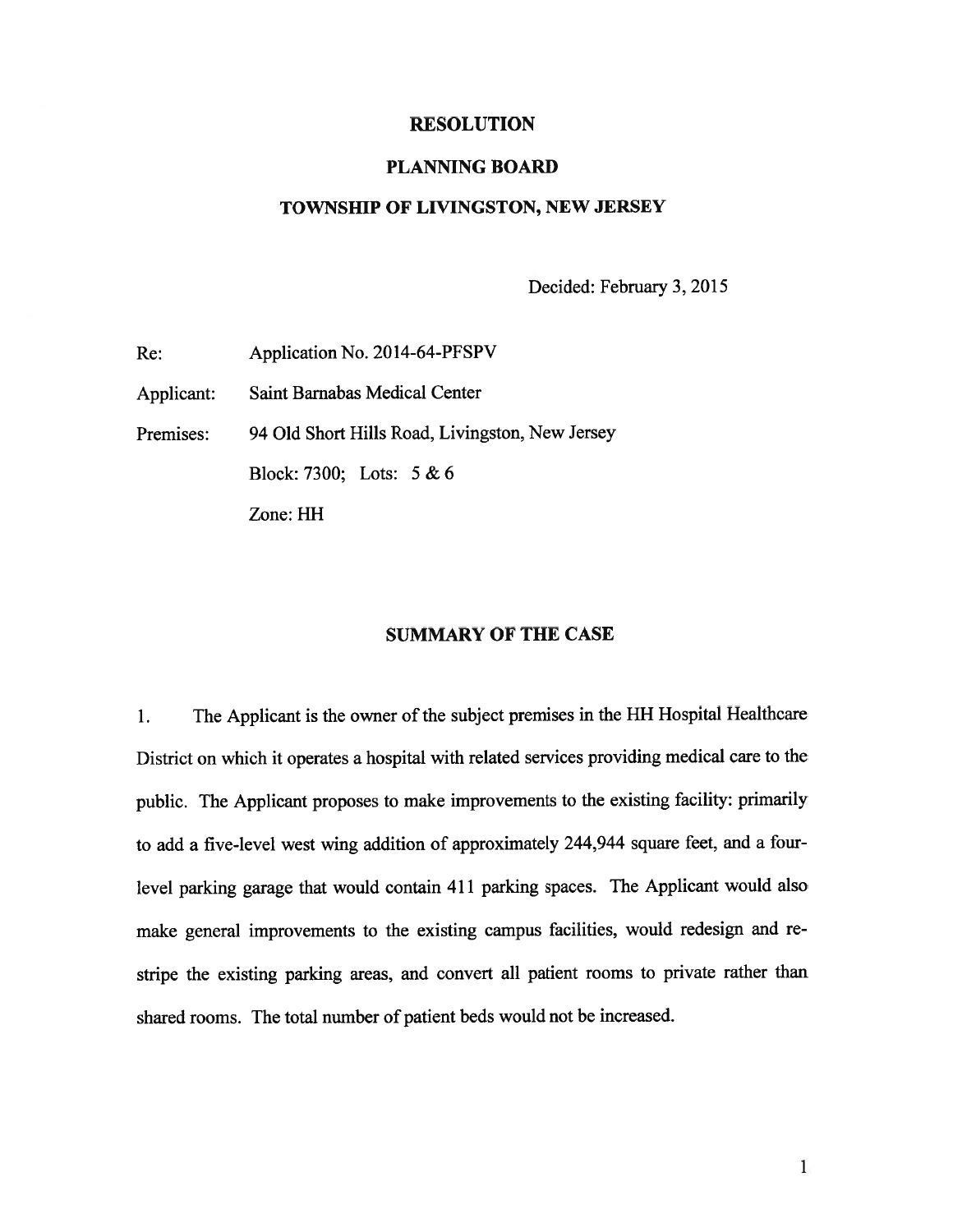#### RESOLUTION

#### PLANNING BOARD

#### TOWNSHIP OF LIVINGSTON, NEW JERSEY

Decided: February 3, 2015

Re: Application No. 2014-64-PFSPV Applicant: Saint Barnabas Medical Center Premises: 94 Old Short Hills Road, Livingston, New Jersey Block: 7300; Lots: 5 & 6 Zone: HH

### SUMMARY OF THE CASE

1. The Applicant is the owner of the subject premises in the HH Hospital Healthcare District on which it operates <sup>a</sup> hospital with related services providing medical care to the public. The Applicant proposes to make improvements to the existing facility: primarily to add <sup>a</sup> five-level west wing addition of approximately 244,944 square feet, and <sup>a</sup> four level parking garage that would contain <sup>411</sup> parking spaces. The Applicant would also make genera<sup>l</sup> improvements to the existing campus facilities, would redesign and re stripe the existing parking areas, and convert all patient rooms to private rather than shared rooms. The total number of patient beds would not be increased.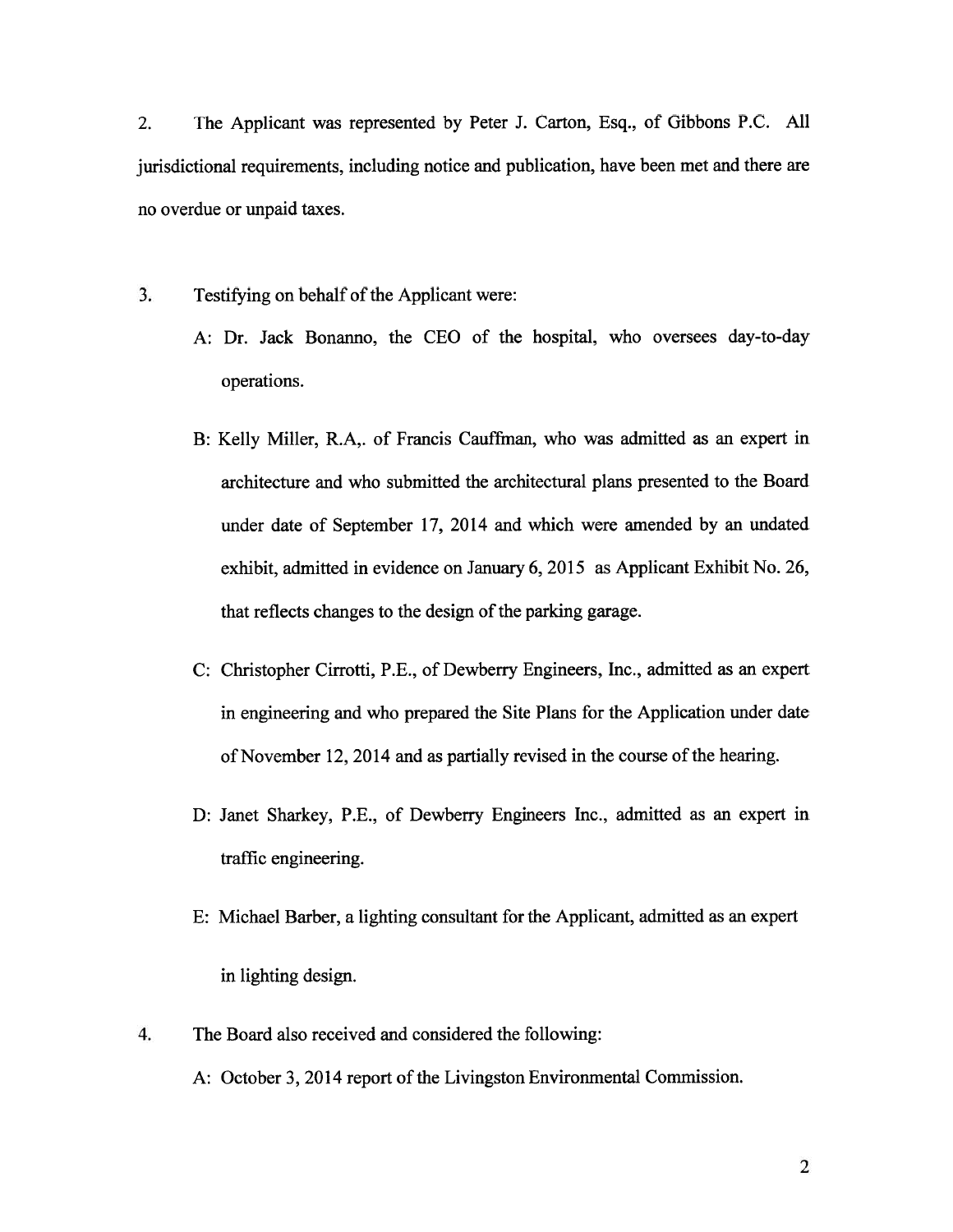2. The Applicant was represented by Peter J. Carton, Esq., of Gibbons P.C. All jurisdictional requirements, including notice and publication, have been met and there are no overdue or unpaid taxes.

3. Testifying on behalf of the Applicant were:

- A: Dr. Jack Bonanno, the CEO of the hospital, who oversees day-to-day operations.
- B: Kelly Miller, R.A,. of Francis Cauffman, who was admitted as an exper<sup>t</sup> in architecture and who submitted the architectural plans presented to the Board under date of September 17, 2014 and which were amended by an undated exhibit, admitted in evidence on January 6, 2015 as Applicant Exhibit No. 26, that reflects changes to the design of the parking garage.
- C: Christopher Cirrotti, P.E., of Dewberry Engineers, Inc., admitted as an exper<sup>t</sup> in engineering and who prepared the Site Plans for the Application under date of November 12, 2014 and as partially revised in the course of the hearing.
- D: Janet Sharkey, P.E., of Dewberry Engineers Inc., admitted as an exper<sup>t</sup> in traffic engineering.
- E: Michael Barber, <sup>a</sup> lighting consultant for the Applicant, admitted as an exper<sup>t</sup> in lighting design.
- 4. The Board also received and considered the following: A: October 3, 2014 report of the Livingston Environmental Commission.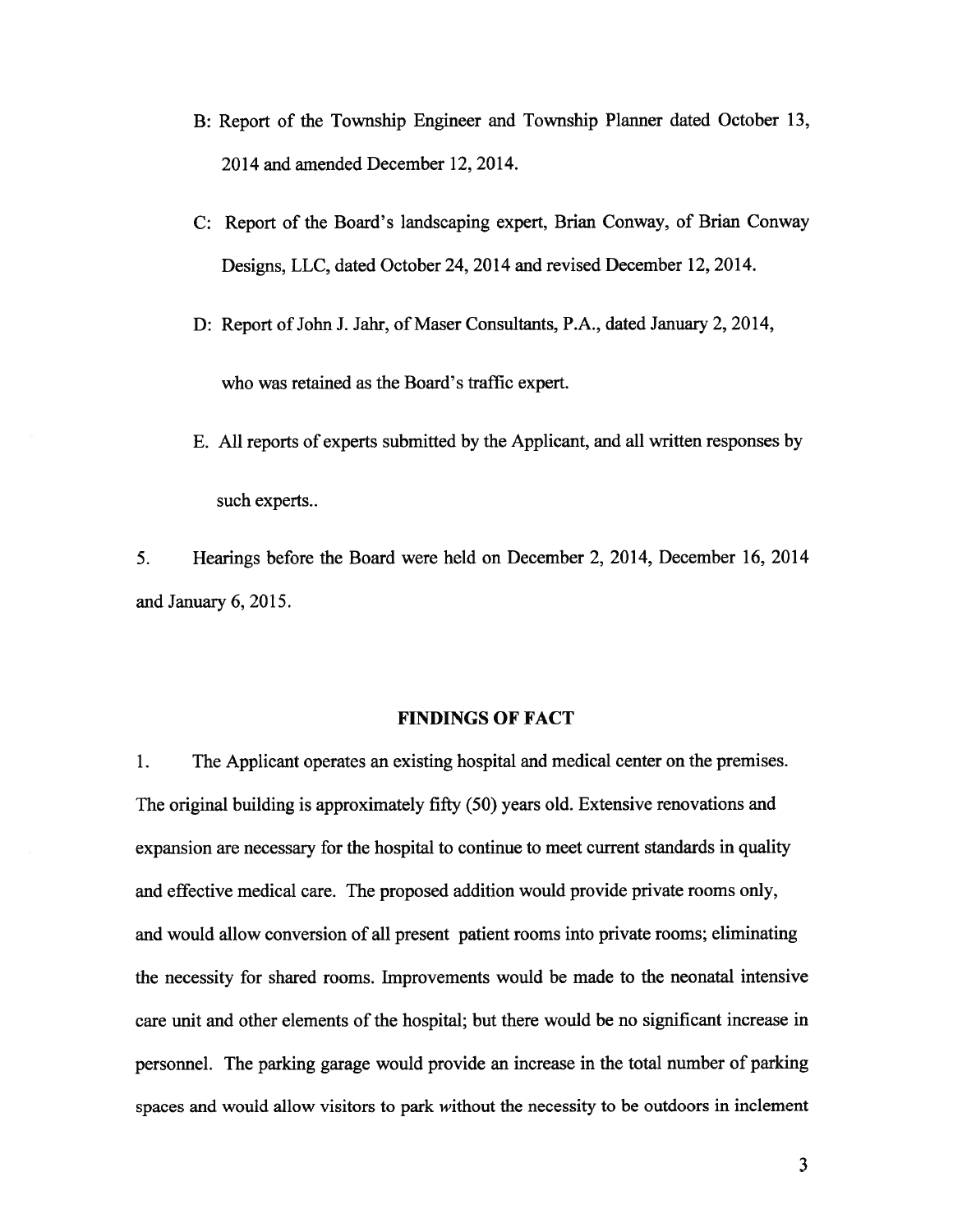- B: Report of the Township Engineer and Township Planner dated October 13, 2014 and amended December 12, 2014.
- C: Report of the Board's landscaping expert, Brian Conway, of Brian Conway Designs, LLC, dated October 24, 2014 and revised December 12, 2014.
- D: Report of John J. Jahr, of Maser Consultants, P.A., dated January 2, 2014, who was retained as the Board's traffic expert.
- E. All reports of experts submitted by the Applicant, and all written responses by such experts..

5. Hearings before the Board were held on December 2, 2014, December 16, 2014 and January 6, 2015.

#### FINDINGS OF FACT

1. The Applicant operates an existing hospital and medical center on the premises. The original building is approximately fifty (50) years old. Extensive renovations and expansion are necessary for the hospital to continue to meet current standards in quality and effective medical care. The proposed addition would provide private rooms only, and would allow conversion of all presen<sup>t</sup> patient rooms into private rooms; eliminating the necessity for shared rooms. Improvements would be made to the neonatal intensive care unit and other elements of the hospital; but there would be no significant increase in personnel. The parking garage would provide an increase in the total number of parking spaces and would allow visitors to park without the necessity to be outdoors in inclement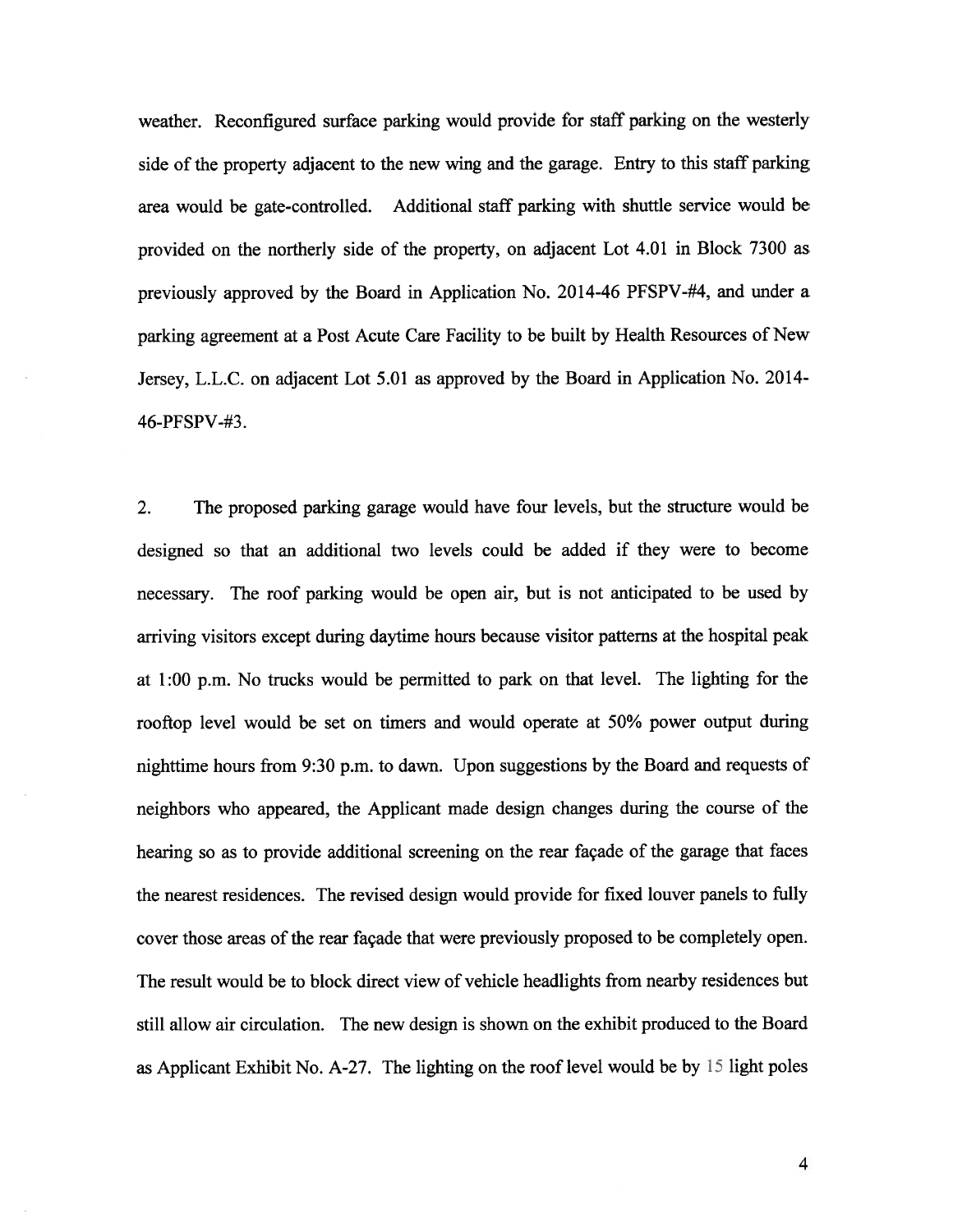weather. Reconfigured surface parking would provide for staff parking on the westerly side of the property adjacent to the new wing and the garage. Entry to this staff parking area would be gate-controlled. Additional staff parking with shuttle service would be provided on the northerly side of the property, on adjacent Lot 4.01 in Block 7300 as previously approved by the Board in Application No. 2014-46 PFSPV-#4, and under <sup>a</sup> parking agreemen<sup>t</sup> at <sup>a</sup> Post Acute Care Facility to be built by Health Resources of New Jersey, L.L.C. on adjacent Lot 5.01 as approved by the Board in Application No. 2014- 46-PFSPV-#3.

2. The proposed parking garage would have four levels, but the structure would be designed so that an additional two levels could be added if they were to become necessary. The roof parking would be open air, but is not anticipated to be used by arriving visitors excep<sup>t</sup> during daytime hours because visitor patterns at the hospital pea<sup>k</sup> at 1:00 p.m. No trucks would be permitted to par<sup>k</sup> on that level. The lighting for the rooftop level would be set on timers and would operate at 50% power output during nighttime hours from 9:30 p.m. to dawn. Upon suggestions by the Board and requests of neighbors who appeared, the Applicant made design changes during the course of the hearing so as to provide additional screening on the rear façade of the garage that faces the nearest residences. The revised design would provide for fixed louver panels to fully cover those areas of the rear façade that were previously proposed to be completely open. The result would be to block direct view of vehicle headlights from nearby residences but still allow air circulation. The new design is shown on the exhibit produced to the Board as Applicant Exhibit No. A-27. The lighting on the roof level would be by 15 light poles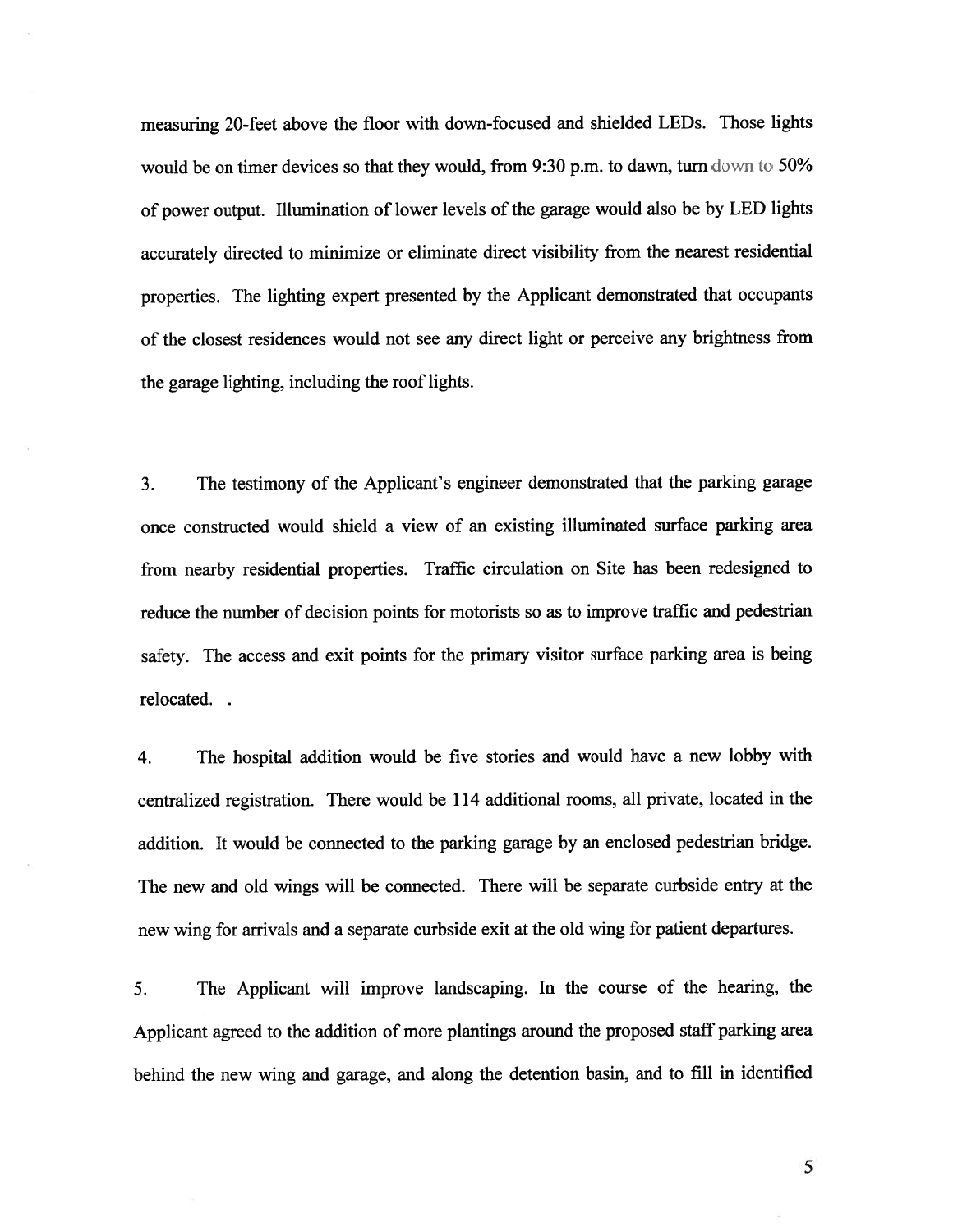measuring 20-feet above the floor with down-focused and shielded LEDs. Those lights would be on timer devices so that they would, from 9:30 p.m. to dawn, turn down to 50% of power output. Illumination of lower levels ofthe garage would also be by LED lights accurately directed to minimize or eliminate direct visibility from the nearest residential properties. The lighting exper<sup>t</sup> presented by the Applicant demonstrated that occupants of the closest residences would not see any direct light or perceive any brightness from the garage lighting, including the roof lights.

3. The testimony of the Applicant's engineer demonstrated that the parking garage once constructed would shield <sup>a</sup> view of an existing illuminated surface parking area from nearby residential properties. Traffic circulation on Site has been redesigned to reduce the number of decision points for motorists so as to improve traffic and pedestrian safety. The access and exit points for the primary visitor surface parking area is being relocated.

4. The hospital addition would be five stories and would have <sup>a</sup> new lobby with centralized registration. There would be <sup>114</sup> additional rooms, all private, located in the addition. It would be connected to the parking garage by an enclosed pedestrian bridge. The new and old wings will be connected. There will be separate curbside entry at the new wing for arrivals and <sup>a</sup> separate curbside exit at the old wing for patient departures.

5. The Applicant will improve landscaping. In the course of the hearing, the Applicant agree<sup>d</sup> to the addition of more <sup>p</sup>lantings around the propose<sup>d</sup> staff parking area behind the new wing and garage, and along the detention basin, and to fill in identified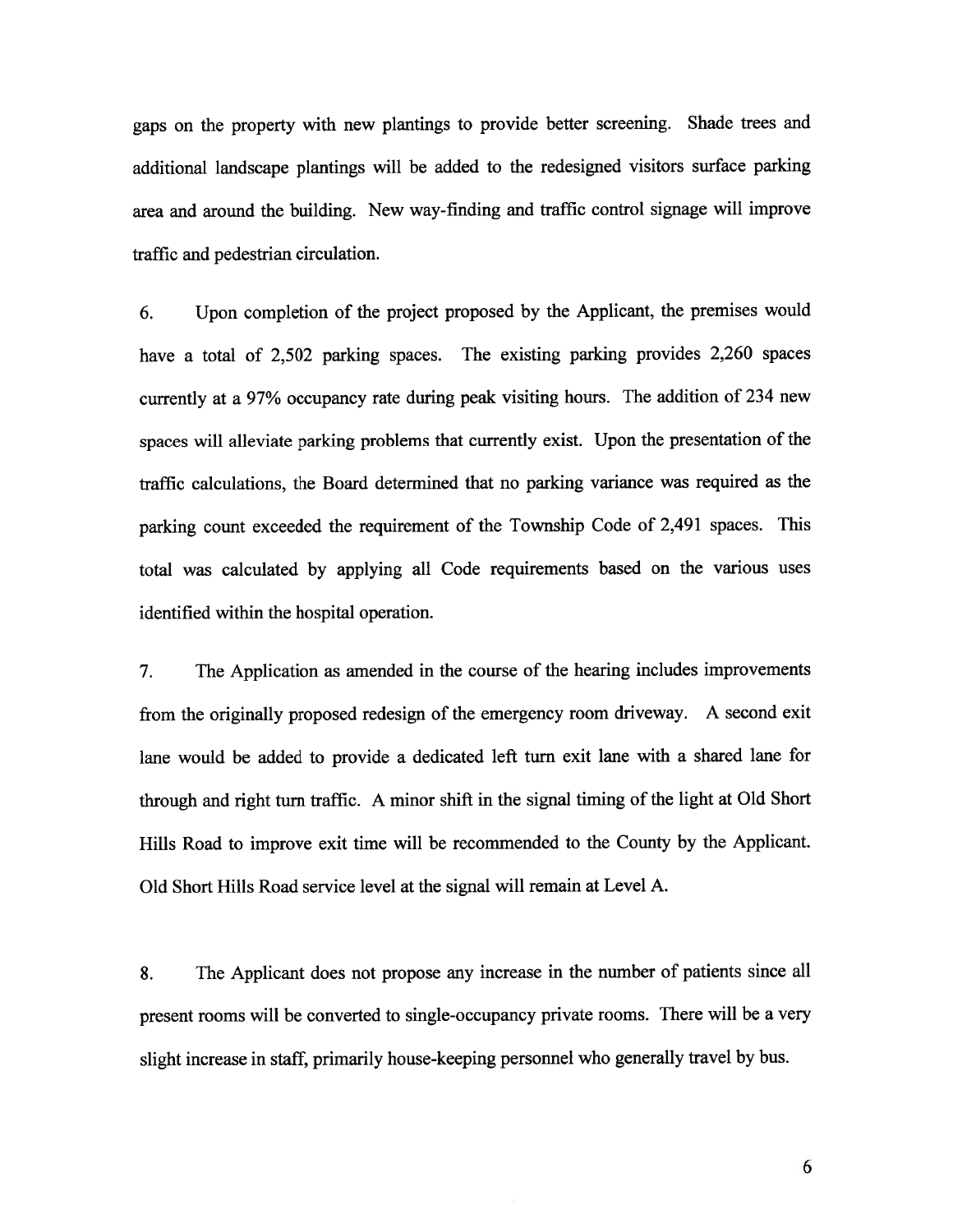gaps on the property with new <sup>p</sup>lantings to provide better screening. Shade trees and additional landscape <sup>p</sup>lantings will be added to the redesigned visitors surface parking area and around the building. New way-finding and traffic control signage will improve traffic and pedestrian circulation.

6. Upon completion of the project propose<sup>d</sup> by the Applicant, the premises would have a total of 2,502 parking spaces. The existing parking provides 2,260 spaces currently at <sup>a</sup> 97% occupancy rate during pea<sup>k</sup> visiting hours. The addition of <sup>234</sup> new spaces will alleviate parking problems that currently exist. Upon the presentation of the traffic calculations, the Board determined that no parking variance was required as the parking count exceeded the requirement of the Township Code of 2,491 spaces. This total was calculated by applying all Code requirements based on the various uses identified within the hospital operation.

7. The Application as amended in the course of the hearing includes improvements from the originally propose<sup>d</sup> redesign of the emergency room driveway. <sup>A</sup> second exit lane would be added to provide <sup>a</sup> dedicated left turn exit lane with <sup>a</sup> shared lane for through and right turn traffic. <sup>A</sup> minor shift in the signal timing of the light at Old Short Hills Road to improve exit time will be recommended to the County by the Applicant. Old Short Hills Road service level at the signal will remain at Level A.

8. The Applicant does not propose any increase in the number of patients since all presen<sup>t</sup> rooms will be converted to single-occupancy private rooms. There will be <sup>a</sup> very slight increase in staff, primarily house-keeping personne<sup>l</sup> who generally travel by bus.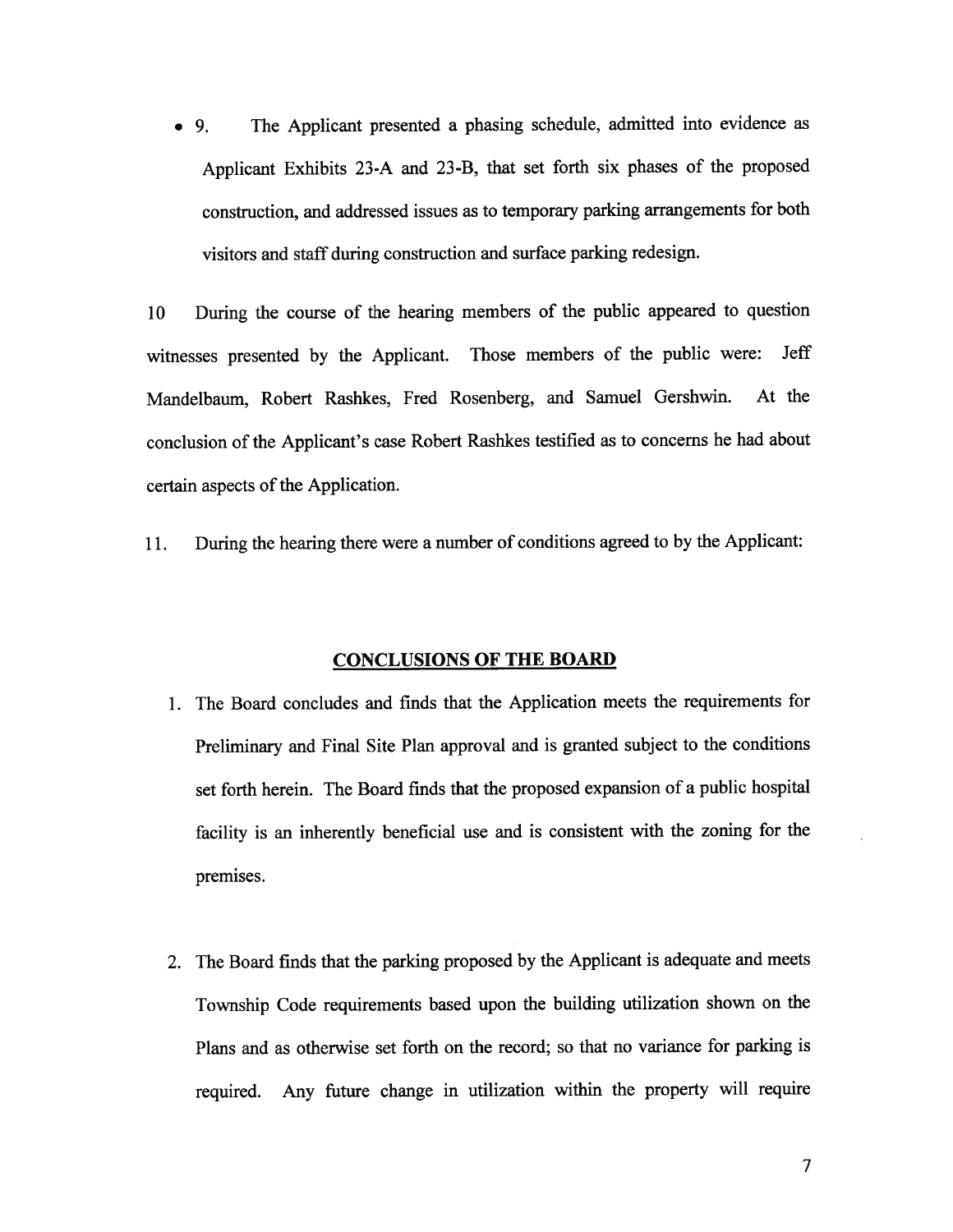• 9. The Applicant presented a phasing schedule, admitted into evidence as Applicant Exhibits 23-A and 23-B, that set forth six <sup>p</sup>hases of the propose<sup>d</sup> construction, and addressed issues as to temporary parking arrangements for both visitors and staff during construction and surface parking redesign.

<sup>10</sup> During the course of the hearing members of the public appeare<sup>d</sup> to question witnesses presented by the Applicant. Those members of the public were: Jeff Mandelbaum, Robert Rashkes, Fred Rosenberg, and Samuel Gershwin. At the conclusion of the Applicant's case Robert Rashkes testified as to concerns he had about certain aspects of the Application.

11. During the hearing there were <sup>a</sup> number of conditions agree<sup>d</sup> to by the Applicant:

#### CONCLUSIONS OF THE BOARD

- 1. The Board concludes and finds that the Application meets the requirements for Preliminary and Final Site Plan approva<sup>l</sup> and is granted subject to the conditions set forth herein. The Board finds that the proposed expansion of <sup>a</sup> public hospital facility is an inherently beneficial use and is consistent with the zoning for the premises.
- 2. The Board fmds that the parking propose<sup>d</sup> by the Applicant is adequate and meets Township Code requirements based upon the building utilization shown on the Plans and as otherwise set forth on the record; so that no variance for parking is required. Any future change in utilization within the property will require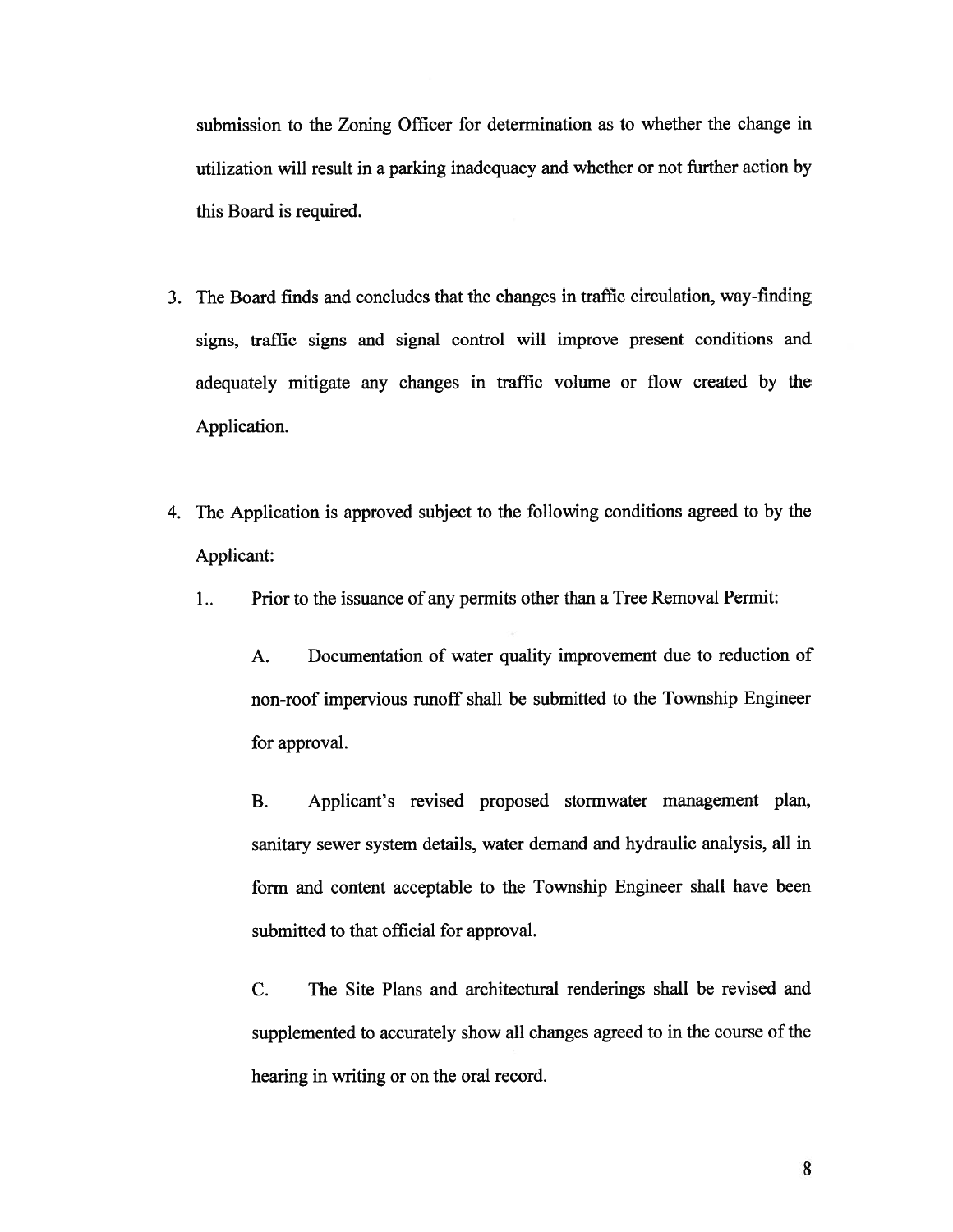submission to the Zoning Officer for determination as to whether the change in utilization will result in <sup>a</sup> parking inadequacy and whether or not further action by this Board is required.

- 3. The Board finds and concludes that the changes in traffic circulation, way-finding signs, traffic signs and signal control will improve presen<sup>t</sup> conditions and adequately mitigate any changes in traffic volume or flow created by the Application.
- 4. The Application is approved subject to the following conditions agreed to by the Applicant:
	- 1.. Prior to the issuance of any permits other than <sup>a</sup> Tree Removal Permit:

A. Documentation of water quality improvement due to reduction of non-roof impervious runoff shall be submitted to the Township Engineer for approval.

B. Applicant's revised proposed stormwater managemen<sup>t</sup> <sup>p</sup>lan, sanitary sewer system details, water demand and hydraulic analysis, all in form and content acceptable to the Township Engineer shall have been submitted to that official for approval.

C. The Site Plans and architectural renderings shall be revised and supplemented to accurately show all changes agreed to in the course of the hearing in writing or on the oral record.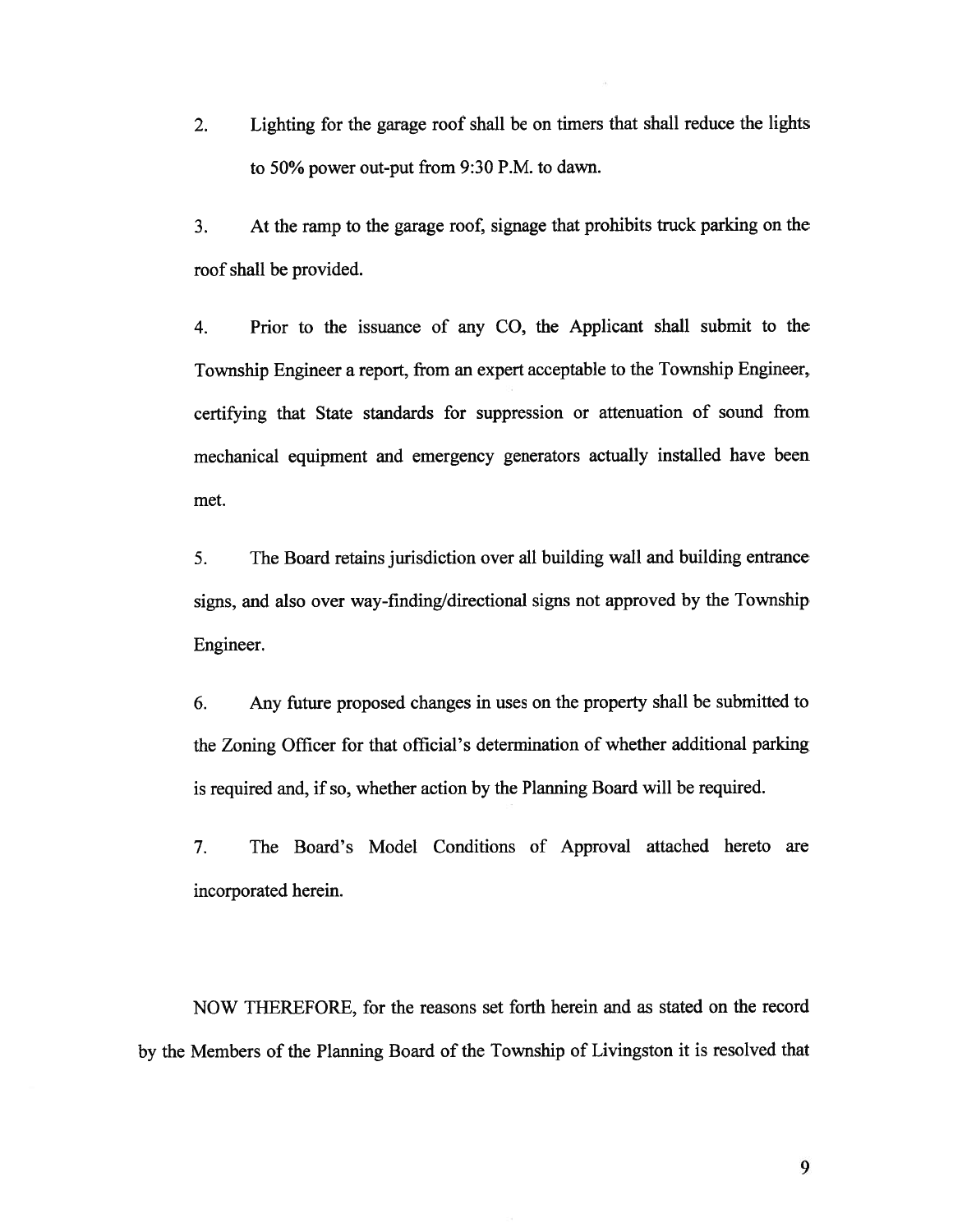2. Lighting for the garage roof shall be on timers that shall reduce the lights to 50% power out-put from 9:30 P.M. to dawn.

3. At the ramp to the garage roof, signage that prohibits truck parking on the roof shall be provided.

4. Prior to the issuance of any CO, the Applicant shall submit to the Township Engineer <sup>a</sup> report, from an exper<sup>t</sup> acceptable to the Township Engineer, certifying that State standards for suppression or attenuation of sound from mechanical equipment and emergency generators actually installed have been met.

5. The Board retains jurisdiction over all building wall and building entrance signs, and also over way-finding/directional signs not approve<sup>d</sup> by the Township Engineer.

6. Any future proposed changes in uses on the property shall be submitted to the Zoning Officer for that official's determination of whether additional parking is required and, if so, whether action by the Planning Board will be required.

7. The Board's Model Conditions of Approval attached hereto are incorporated herein.

NOW THEREFORE, for the reasons set forth herein and as stated on the record by the Members of the Planning Board of the Township of Livingston it is resolved that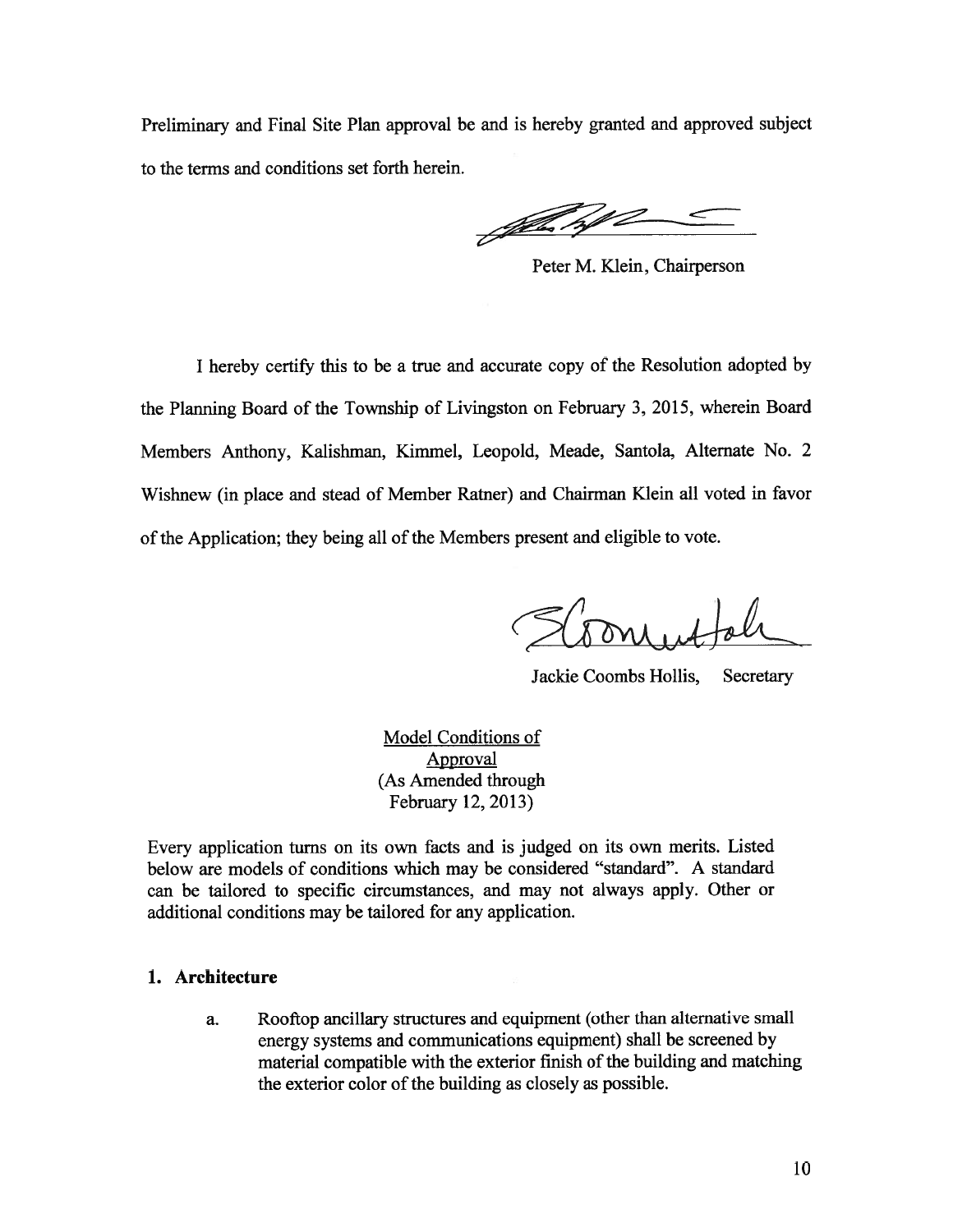Preliminary and Final Site Plan approva<sup>l</sup> be and is hereby granted and approved subject to the terms and conditions set forth herein.

John N

Peter M. Klein, Chairperson

<sup>I</sup> hereby certify this to be <sup>a</sup> true and accurate copy of the Resolution adopted by the Planning Board of the Township of Livingston on February 3, 2015, wherein Board Members Anthony, Kalishman, Kimmel, Leopold, Meade, Santola, Alternate No. <sup>2</sup> Wishnew (in <sup>p</sup>lace and stead of Member Ratner) and Chairman Klein all voted in favor of the Application; they being all of the Members present and eligible to vote.

Jackie Coombs Hollis, Secretary

Model Conditions of Approval (As Amended through February 12, 2013)

Every application turns on its own facts and is judged on its own merits. Listed below are models of conditions which may be considered "standard". A standard can be tailored to specific circumstances, and may not always apply. Other or additional conditions may be tailored for any application.

#### 1. Architecture

a. Rooftop ancillary structures and equipment (other than alternative small energy systems and communications equipment) shall be screened by material compatible with the exterior finish of the building and matching the exterior color of the building as closely as possible.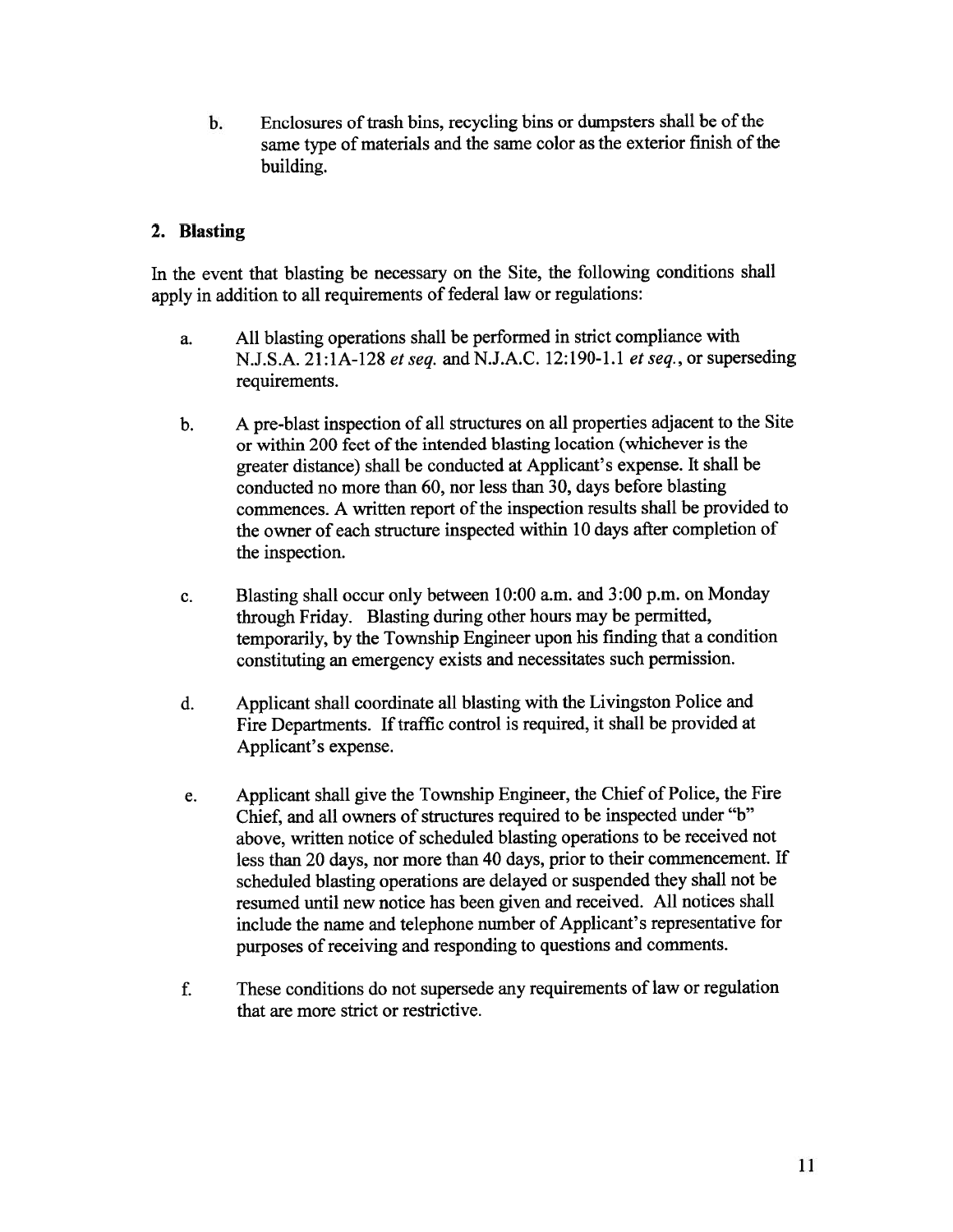b. Enclosures of trash bins, recycling bins or dumpsters shall be of the same type of materials and the same color as the exterior finish of the building.

## 2. Blasting

In the event that blasting be necessary on the Site, the following conditions shall apply in addition to all requirements of federal law or regulations:

- a. All blasting operations shall be performed in strict compliance with N.J.S.A. 21:1A-128 et seq. and N.J.A.C. 12:190-1.1 et seq., or superseding requirements.
- b. <sup>A</sup> pre-blast inspection of all structures on all properties adjacent to the Site or within 200 feet of the intended blasting location (whichever is the greater distance) shall be conducted at Applicant's expense. It shall be conducted no more than 60, nor less than 30, days before blasting commences. A written report of the inspection results shall be provided to the owner of each structure inspected within <sup>10</sup> days after completion of the inspection.
- c. Blasting shall occur only between 10:00 a.m. and 3:00 p.m. on Monday through Friday. Blasting during other hours may be permitted, temporarily, by the Township Engineer upon his finding that <sup>a</sup> condition constituting an emergency exists and necessitates such permission.
- d. Applicant shall coordinate all blasting with the Livingston Police and Fire Departments. If traffic control is required, it shall be provided at Applicant's expense.
- e. Applicant shall <sup>g</sup>ive the Township Engineer, the Chief of Police, the Fire Chief, and all owners of structures required to be inspected under "b" above, written notice of scheduled blasting operations to be received not less than <sup>20</sup> days, nor more than <sup>40</sup> days, prior to their commencement. If scheduled blasting operations are delayed or suspended they shall not be resumed until new notice has been <sup>g</sup>iven and received. All notices shall include the name and telephone number of Applicant's representative for purposes of receiving and responding to questions and comments.
- f. These conditions do not supersede any requirements of law or regulation that are more strict or restrictive.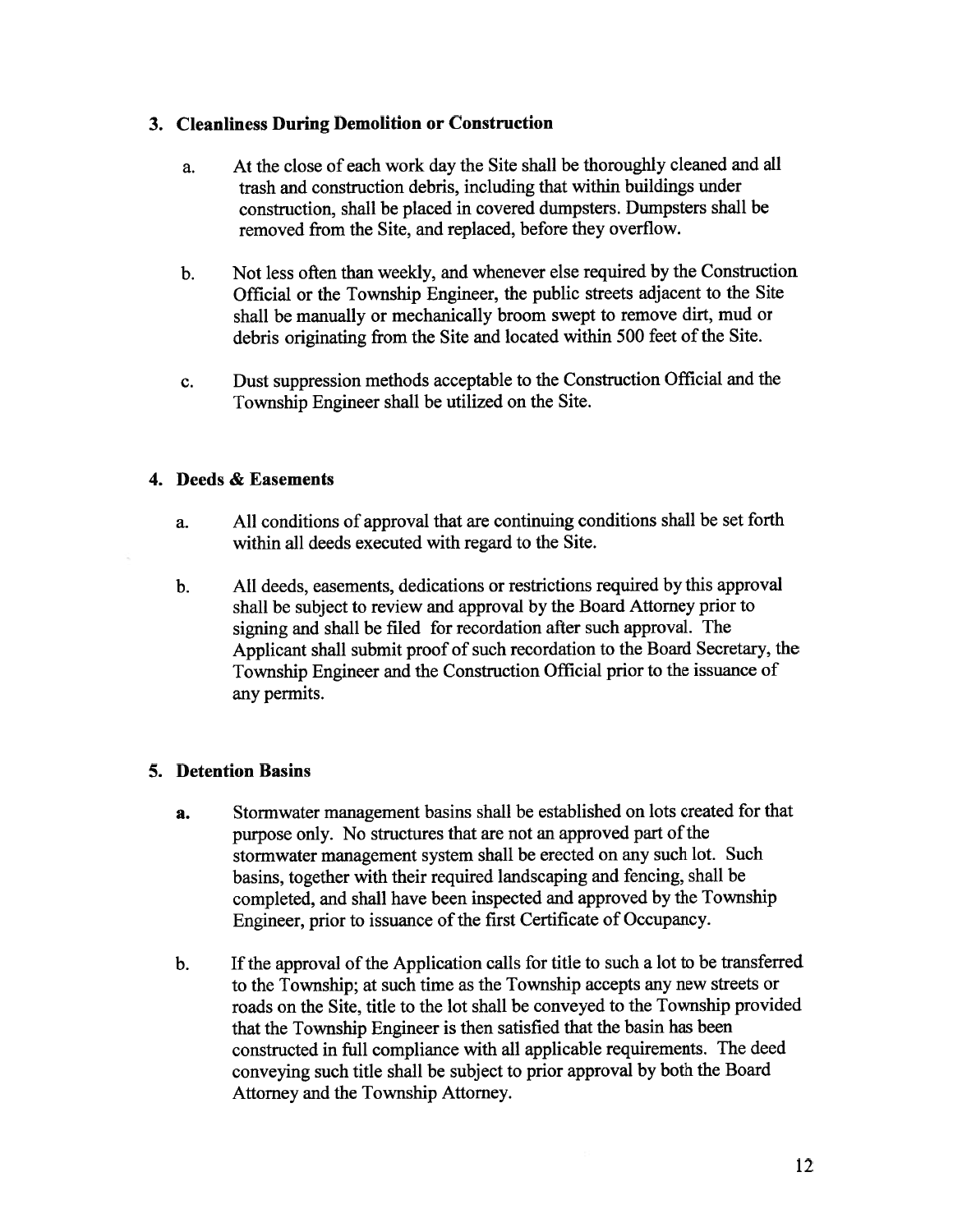### 3. Cleanliness During Demolition or Construction

- a. At the close of each work day the Site shall be thoroughly cleaned and all trash and construction debris, including that within buildings under construction, shall be <sup>p</sup>laced in covered dumpsters. Dumpsters shall be removed from the Site, and replaced, before they overflow.
- b. Not less often than weekly, and whenever else required by the Construction Official or the Township Engineer, the public streets adjacent to the Site shall be manually or mechanically broom swep<sup>t</sup> to remove dirt, mud or debris originating from the Site and located within 500 feet of the Site.
- c. Dust suppression methods acceptable to the Construction Official and the Township Engineer shall be utilized on the Site.

#### 4. Deeds & Easements

- a. All conditions of approval that are continuing conditions shall be set forth within all deeds executed with regard to the Site.
- b. All deeds, easements, dedications or restrictions required by this approval shall be subject to review and approva<sup>l</sup> by the Board Attorney prior to signing and shall be filed for recordation after such approval. The Applicant shall submit proo<sup>f</sup> of such recordation to the Board Secretary, the Township Engineer and the Construction Official prior to the issuance of any permits.

## 5. Detention Basins

- a. Stormwater managemen<sup>t</sup> basins shall be established on lots created for that purpose only. No structures that are not an approved part of the stormwater managemen<sup>t</sup> system shall be erected on any such lot. Such basins, together with their required landscaping and fencing, shall be completed, and shall have been inspected and approve<sup>d</sup> by the Township Engineer, prior to issuance of the first Certificate of Occupancy.
- b. Ifthe approva<sup>l</sup> ofthe Application calls for title to such <sup>a</sup> lot to be transferred to the Township; at such time as the Township accepts any new streets or roads on the Site, title to the lot shall be conveyed to the Township provided that the Township Engineer is then satisfied that the basin has been constructed in full compliance with all applicable requirements. The deed conveying such title shall be subject to prior approva<sup>l</sup> by both the Board Attorney and the Township Attorney.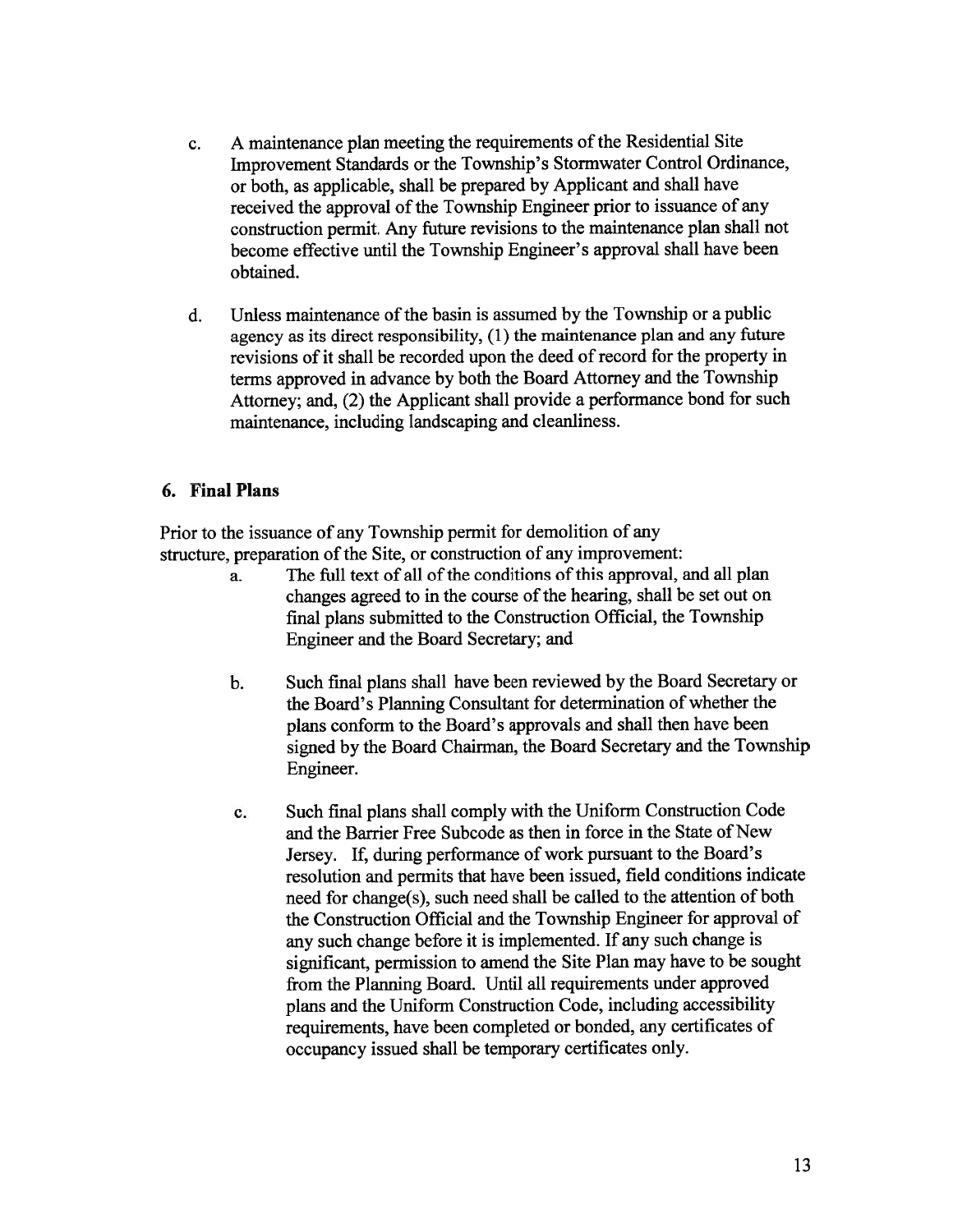- c. A maintenance plan meeting the requirements of the Residential Site Improvement Standards or the Township's Stormwater Control Ordinance, or both, as applicable, shall be prepared by Applicant and shall have received the approval of the Township Engineer prior to issuance of any construction permit. Any future revisions to the maintenance <sup>p</sup>lan shall not become effective until the Township Engineer's approval shall have been obtained.
- d. Unless maintenance of the basin is assumed by the Township or a public agency as its direct responsibility, (1) the maintenance <sup>p</sup>lan and any future revisions of it shall be recorded upon the deed of record for the property in terms approve<sup>d</sup> in advance by both the Board Attorney and the Township Attorney; and, (2) the Applicant shall provide <sup>a</sup> performance bond for such maintenance, including landscaping and cleanliness.

#### 6. Final Plans

Prior to the issuance of any Township permit for demolition of any structure, preparation of the Site, or construction of any improvement:

- a. The full text of all of the conditions of this approval, and all plan changes agreed to in the course of the hearing, shall be set out on final <sup>p</sup>lans submitted to the Construction Official, the Township Engineer and the Board Secretary; and
- b. Such final <sup>p</sup>lans shall have been reviewed by the Board Secretary or the Board's Planning Consultant for determination of whether the <sup>p</sup>lans conform to the Board's approvals and shall then have been signed by the Board Chairman, the Board Secretary and the Township Engineer.
- c. Such final <sup>p</sup>lans shall comply with the Uniform Construction Code and the Barrier Free Subcode as then in force in the State of New Jersey. If, during performance of work pursuan<sup>t</sup> to the Board's resolution and permits that have been issued, field conditions indicate need for change(s), such need shall be called to the attention of both the Construction Official and the Township Engineer for approval of any such change before it is implemented. If any such change is significant, permission to amend the Site Plan may have to be sought from the Planning Board. Until all requirements under approved <sup>p</sup>lans and the Uniform Construction Code, including accessibility requirements, have been completed or bonded, any certificates of occupancy issued shall be temporary certificates only.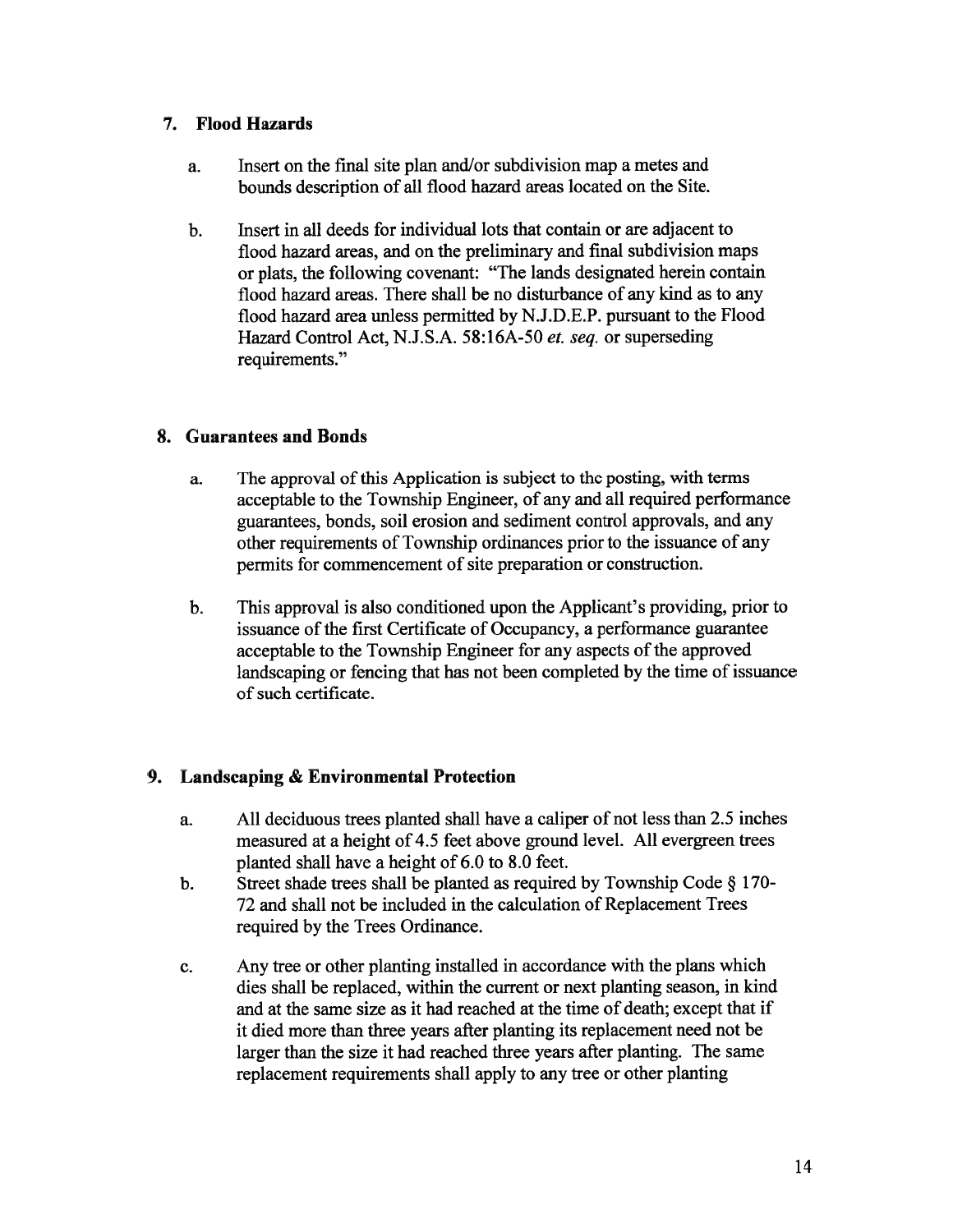## 7. Flood Hazards

- a. Insert on the final site plan and/or subdivision map <sup>a</sup> metes and bounds description of all flood hazard areas located on the Site.
- b. Insert in all deeds for individual lots that contain or are adjacent to flood hazard areas, and on the preliminary and final subdivision maps or <sup>p</sup>lats, the following covenant: "The lands designated herein contain flood hazard areas. There shall be no disturbance of any kind as to any flood hazard area unless permitted by N.J.D.E.P. pursuan<sup>t</sup> to the Flood Hazard Control Act, N.J.S.A. 58:16A-50 et. seq. or superseding requirements."

## 8. Guarantees and Bonds

- a. The approval of this Application is subject to the posting, with terms acceptable to the Township Engineer, of any and all required performance guarantees, bonds, soil erosion and sediment control approvals, and any other requirements of Township ordinances prior to the issuance of any permits for commencement of site preparation or construction.
- b. This approval is also conditioned upon the Applicant's providing, prior to issuance of the first Certificate of Occupancy, a performance guarantee acceptable to the Township Engineer for any aspects of the approved landscaping or fencing that has not been completed by the time of issuance of such certificate.

# 9. Landscaping & Environmental Protection

- a. All deciduous trees planted shall have <sup>a</sup> caliper of not less than 2.5 inches measured at <sup>a</sup> height of 4.5 feet above ground level. All evergreen trees planted shall have <sup>a</sup> height of 6.0 to 8.0 feet.
- b. Street shade trees shall be <sup>p</sup>lanted as required by Township Code § 170- 72 and shall not be included in the calculation of Replacement Trees required by the Trees Ordinance.
- c. Any tree or other planting installed in accordance with the plans which dies shall be replaced, within the current or next planting season, in kind and at the same size as it had reached at the time of death; excep<sup>t</sup> that if it died more than three years after planting its replacement need not be larger than the size it had reached three years after <sup>p</sup>lanting. The same replacement requirements shall apply to any tree or other planting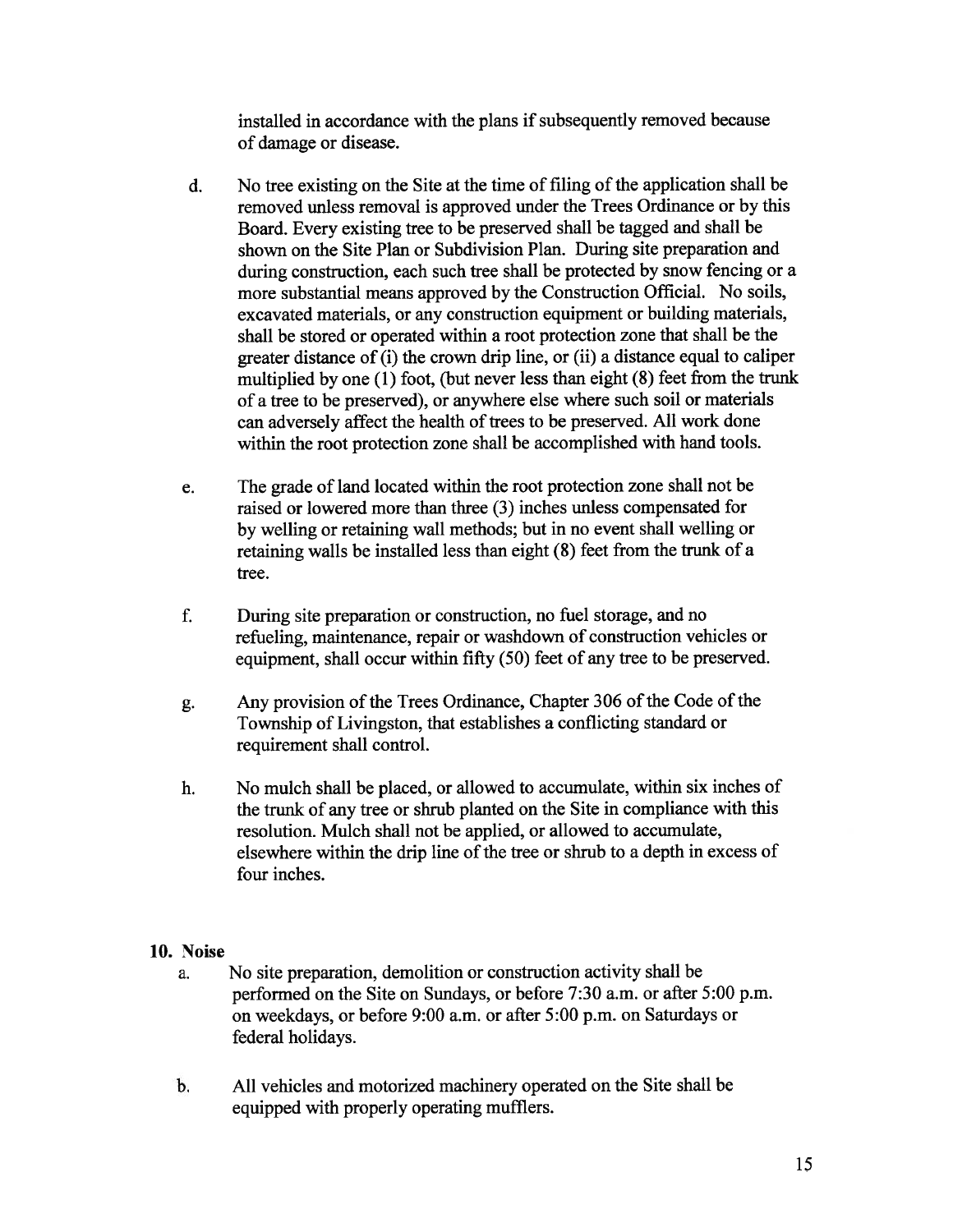installed in accordance with the plans if subsequently removed because of damage or disease.

- d. No tree existing on the Site at the time of filing of the application shall be removed unless removal is approved under the Trees Ordinance or by this Board. Every existing tree to be preserved shall be tagged and shall be shown on the Site Plan or Subdivision Plan. During site preparation and during construction, each such tree shall be protected by snow fencing or <sup>a</sup> more substantial means approved by the Construction Official. No soils, excavated materials, or any construction equipment or building materials, shall be stored or operated within <sup>a</sup> root protection zone that shall be the greater distance of (i) the crown drip line, or (ii) <sup>a</sup> distance equa<sup>l</sup> to caliper multiplied by one (1) foot, (but never less than eight (8) feet from the trunk of <sup>a</sup> tree to be preserved), or anywhere else where such soil or materials can adversely affect the health of trees to be preserved. All work done within the root protection zone shall be accomplished with hand tools.
- e. The grade of land located within the root protection zone shall not be raised or lowered more than three (3) inches unless compensated for by welling or retaining wall methods; but in no event shall welling or retaining walls be installed less than eight (8) feet from the trunk of <sup>a</sup> tree.
- f. During site preparation or construction, no fuel storage, and no refueling, maintenance, repair or washdown of construction vehicles or equipment, shall occur within fifty (50) feet of any tree to be preserved.
- g. Any provision of the Trees Ordinance, Chapter 306 of the Code of the Township of Livingston, that establishes <sup>a</sup> conflicting standard or requirement shall control.
- h. No mulch shall be <sup>p</sup>laced, or allowed to accumulate, within six inches of the trunk of any tree or shrub <sup>p</sup>lanted on the Site in compliance with this resolution. Mulch shall not be applied, or allowed to accumulate, elsewhere within the drip line of the tree or shrub to a depth in excess of four inches.

## 10. Noise

- a. No site preparation, demolition or construction activity shall be performed on the Site on Sundays, or before 7:30 a.m. or after 5:00 p.m. on weekdays, or before 9:00 a.m. or after 5:00 p.m. on Saturdays or federal holidays.
- b. All vehicles and motorized machinery operated on the Site shall be equipped with properly operating mufflers.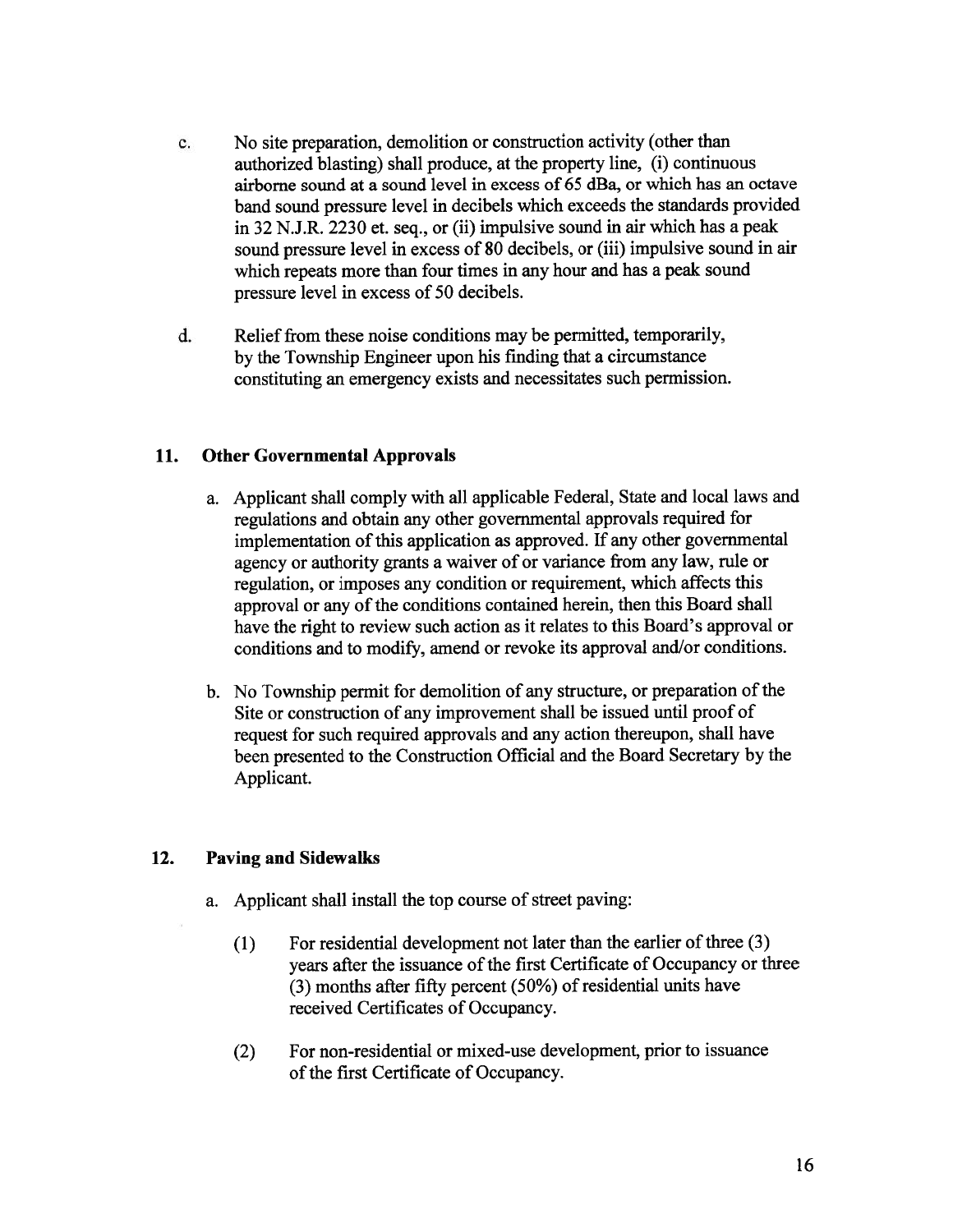- c. No site preparation, demolition or construction activity (other than authorized blasting) shall produce, at the property line, (i) continuous airborne sound at <sup>a</sup> sound level in excess of 65 dBa, or which has an octave band sound pressure level in decibels which exceeds the standards provided in 32 N.J.R. 2230 et. seq., or (ii) impulsive sound in air which has <sup>a</sup> peak sound pressure level in excess of <sup>80</sup> decibels, or (iii) impulsive sound in air which repeats more than four times in any hour and has <sup>a</sup> peak sound pressure level in excess of 50 decibels.
- d. Relief from these noise conditions may be permitted, temporarily, by the Township Engineer upon his finding that <sup>a</sup> circumstance constituting an emergency exists and necessitates such permission.

## 11. Other Governmental Approvals

- a. Applicant shall comply with all applicable Federal, State and local laws and regulations and obtain any other governmental approvals required for implementation of this application as approved. If any other governmental agency or authority grants <sup>a</sup> waiver of or variance from any law, rule or regulation, or imposes any condition or requirement, which affects this approval or any of the conditions contained herein, then this Board shall have the right to review such action as it relates to this Board's approva<sup>l</sup> or conditions and to modify, amend or revoke its approva<sup>l</sup> and/or conditions.
- b. No Township permit for demolition of any structure, or preparation of the Site or construction of any improvement shall be issued until proof of reques<sup>t</sup> for such required approvals and any action thereupon, shall have been presented to the Construction Official and the Board Secretary by the Applicant.

# 12. Paving and Sidewalks

- a. Applicant shall install the top course of street paving:
	- $(1)$  For residential development not later than the earlier of three  $(3)$ years after the issuance of the first Certificate of Occupancy or three  $(3)$  months after fifty percent  $(50\%)$  of residential units have received Certificates of Occupancy.
	- (2) For non-residential or mixed-use development, prior to issuance of the first Certificate of Occupancy.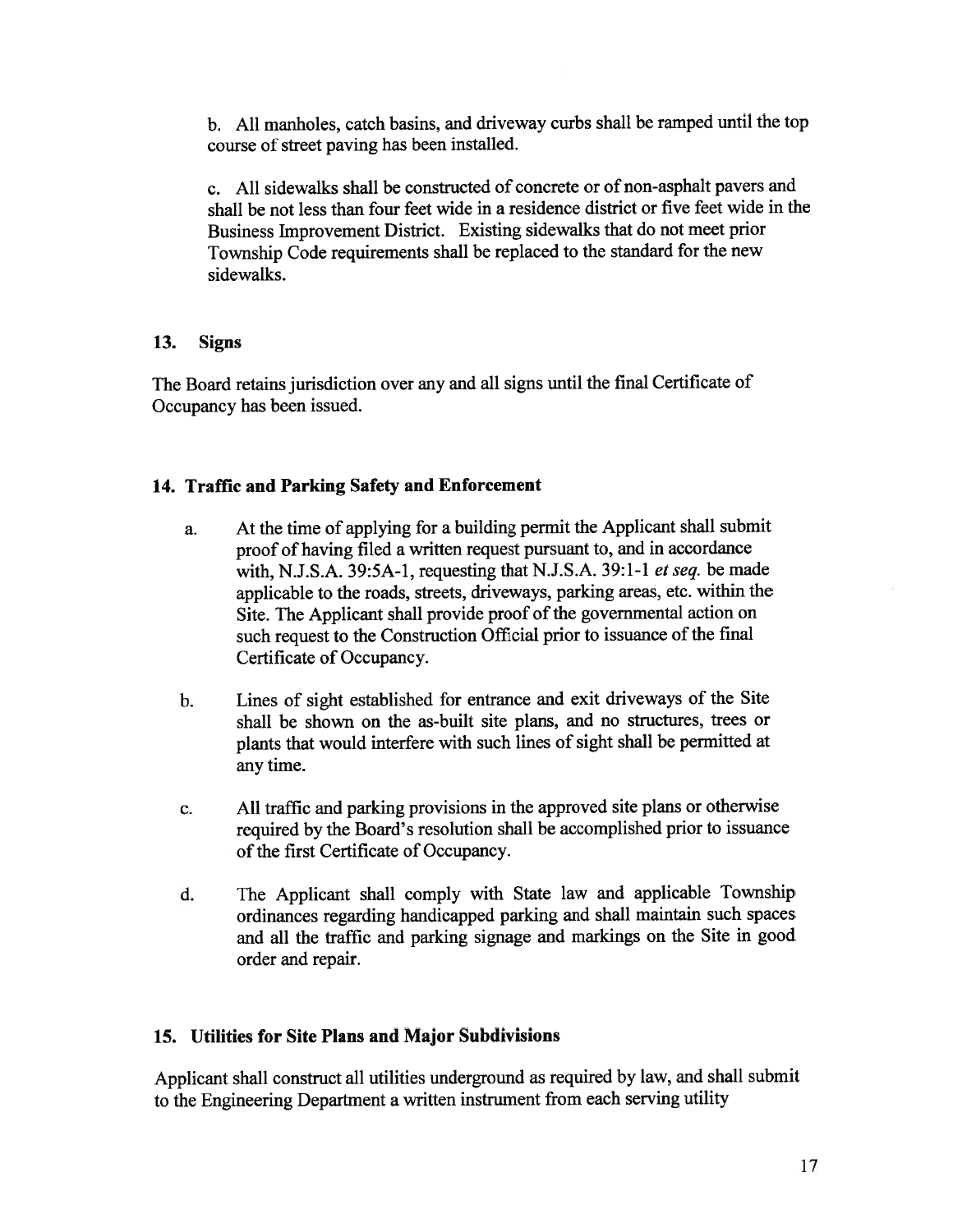b. All manholes, catch basins, and driveway curbs shall be ramped until the top course of street paving has been installed.

c. All sidewalks shall be constructed of concrete or of non-asphalt payers and shall be not less than four feet wide in <sup>a</sup> residence district or five feet wide in the Business Improvement District. Existing sidewalks that do not meet prior Township Code requirements shall be replaced to the standard for the new sidewalks.

## 13. Signs

The Board retains jurisdiction over any and all signs until the final Certificate of Occupancy has been issued.

## 14. Traffic and Parking Safety and Enforcement

- a. At the time of applying for <sup>a</sup> building permit the Applicant shall submit proo<sup>f</sup> of having filed <sup>a</sup> written reques<sup>t</sup> pursuan<sup>t</sup> to, and in accordance with, N.J.S.A. 39:5A-1, requesting that N.J.S.A. 39:1-1 et seq. be made applicable to the roads, streets, driveways, parking areas, etc. within the Site. The Applicant shall provide proo<sup>f</sup> of the governmental action on such request to the Construction Official prior to issuance of the final Certificate of Occupancy.
- b. Lines of sight established for entrance and exit driveways of the Site shall be shown on the as-built site plans, and no structures, trees or <sup>p</sup>lants that would interfere with such lines of sight shall be permitted at any time.
- c. All traffic and parking provisions in the approve<sup>d</sup> site <sup>p</sup>lans or otherwise required by the Board's resolution shall be accomplished prior to issuance of the first Certificate of Occupancy.
- d. The Applicant shall comply with State law and applicable Township ordinances regarding handicapped parking and shall maintain such spaces and all the traffic and parking signage and markings on the Site in goo<sup>d</sup> order and repair.

# 15. Utilities for Site Plans and Major Subdivisions

Applicant shall construct all utilities underground as required by law, and shall submit to the Engineering Department <sup>a</sup> written instrument from each serving utility